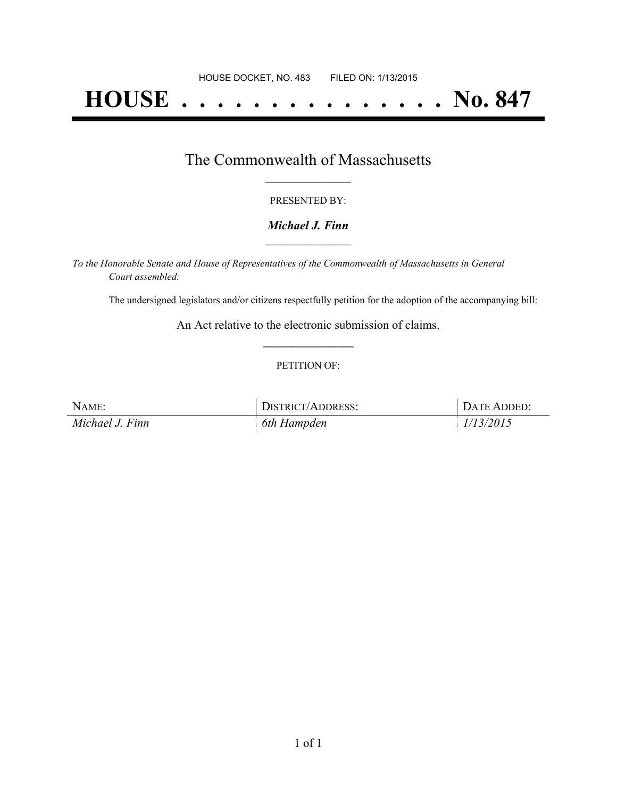# **HOUSE . . . . . . . . . . . . . . . No. 847**

# The Commonwealth of Massachusetts **\_\_\_\_\_\_\_\_\_\_\_\_\_\_\_\_\_**

#### PRESENTED BY:

## *Michael J. Finn* **\_\_\_\_\_\_\_\_\_\_\_\_\_\_\_\_\_**

*To the Honorable Senate and House of Representatives of the Commonwealth of Massachusetts in General Court assembled:*

The undersigned legislators and/or citizens respectfully petition for the adoption of the accompanying bill:

An Act relative to the electronic submission of claims. **\_\_\_\_\_\_\_\_\_\_\_\_\_\_\_**

### PETITION OF:

| NAME:           | DISTRICT/ADDRESS: | DATE ADDED: |
|-----------------|-------------------|-------------|
| Michael J. Finn | 6th Hampden       | 1/13/2015   |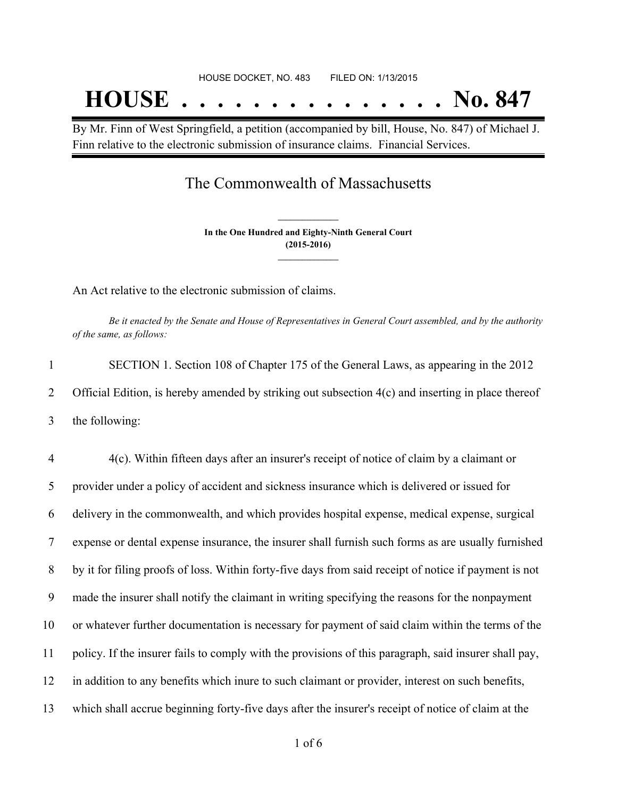By Mr. Finn of West Springfield, a petition (accompanied by bill, House, No. 847) of Michael J. Finn relative to the electronic submission of insurance claims. Financial Services.

## The Commonwealth of Massachusetts

**In the One Hundred and Eighty-Ninth General Court (2015-2016) \_\_\_\_\_\_\_\_\_\_\_\_\_\_\_**

**\_\_\_\_\_\_\_\_\_\_\_\_\_\_\_**

An Act relative to the electronic submission of claims.

Be it enacted by the Senate and House of Representatives in General Court assembled, and by the authority *of the same, as follows:*

1 SECTION 1. Section 108 of Chapter 175 of the General Laws, as appearing in the 2012 2 Official Edition, is hereby amended by striking out subsection 4(c) and inserting in place thereof 3 the following:

 4(c). Within fifteen days after an insurer's receipt of notice of claim by a claimant or provider under a policy of accident and sickness insurance which is delivered or issued for delivery in the commonwealth, and which provides hospital expense, medical expense, surgical expense or dental expense insurance, the insurer shall furnish such forms as are usually furnished by it for filing proofs of loss. Within forty-five days from said receipt of notice if payment is not made the insurer shall notify the claimant in writing specifying the reasons for the nonpayment or whatever further documentation is necessary for payment of said claim within the terms of the policy. If the insurer fails to comply with the provisions of this paragraph, said insurer shall pay, in addition to any benefits which inure to such claimant or provider, interest on such benefits, which shall accrue beginning forty-five days after the insurer's receipt of notice of claim at the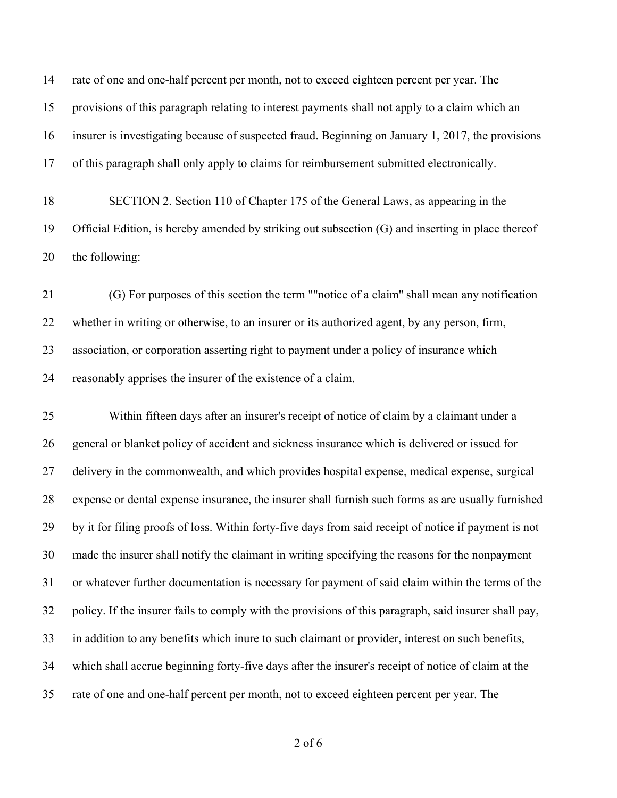rate of one and one-half percent per month, not to exceed eighteen percent per year. The provisions of this paragraph relating to interest payments shall not apply to a claim which an insurer is investigating because of suspected fraud. Beginning on January 1, 2017, the provisions of this paragraph shall only apply to claims for reimbursement submitted electronically.

 SECTION 2. Section 110 of Chapter 175 of the General Laws, as appearing in the Official Edition, is hereby amended by striking out subsection (G) and inserting in place thereof the following:

 (G) For purposes of this section the term ""notice of a claim'' shall mean any notification whether in writing or otherwise, to an insurer or its authorized agent, by any person, firm, association, or corporation asserting right to payment under a policy of insurance which reasonably apprises the insurer of the existence of a claim.

 Within fifteen days after an insurer's receipt of notice of claim by a claimant under a general or blanket policy of accident and sickness insurance which is delivered or issued for delivery in the commonwealth, and which provides hospital expense, medical expense, surgical expense or dental expense insurance, the insurer shall furnish such forms as are usually furnished by it for filing proofs of loss. Within forty-five days from said receipt of notice if payment is not made the insurer shall notify the claimant in writing specifying the reasons for the nonpayment or whatever further documentation is necessary for payment of said claim within the terms of the policy. If the insurer fails to comply with the provisions of this paragraph, said insurer shall pay, in addition to any benefits which inure to such claimant or provider, interest on such benefits, which shall accrue beginning forty-five days after the insurer's receipt of notice of claim at the rate of one and one-half percent per month, not to exceed eighteen percent per year. The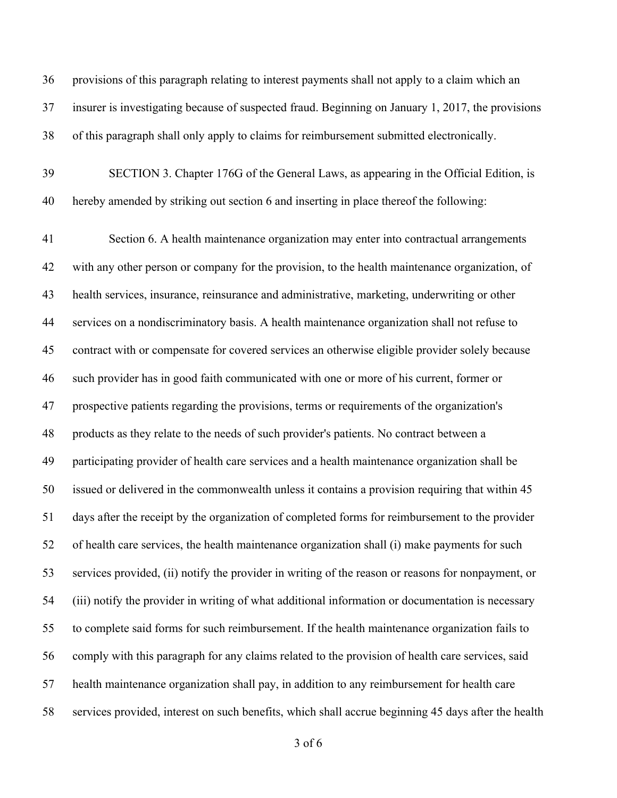provisions of this paragraph relating to interest payments shall not apply to a claim which an insurer is investigating because of suspected fraud. Beginning on January 1, 2017, the provisions of this paragraph shall only apply to claims for reimbursement submitted electronically.

 SECTION 3. Chapter 176G of the General Laws, as appearing in the Official Edition, is hereby amended by striking out section 6 and inserting in place thereof the following:

 Section 6. A health maintenance organization may enter into contractual arrangements with any other person or company for the provision, to the health maintenance organization, of health services, insurance, reinsurance and administrative, marketing, underwriting or other services on a nondiscriminatory basis. A health maintenance organization shall not refuse to contract with or compensate for covered services an otherwise eligible provider solely because such provider has in good faith communicated with one or more of his current, former or prospective patients regarding the provisions, terms or requirements of the organization's products as they relate to the needs of such provider's patients. No contract between a participating provider of health care services and a health maintenance organization shall be issued or delivered in the commonwealth unless it contains a provision requiring that within 45 days after the receipt by the organization of completed forms for reimbursement to the provider of health care services, the health maintenance organization shall (i) make payments for such services provided, (ii) notify the provider in writing of the reason or reasons for nonpayment, or (iii) notify the provider in writing of what additional information or documentation is necessary to complete said forms for such reimbursement. If the health maintenance organization fails to comply with this paragraph for any claims related to the provision of health care services, said health maintenance organization shall pay, in addition to any reimbursement for health care services provided, interest on such benefits, which shall accrue beginning 45 days after the health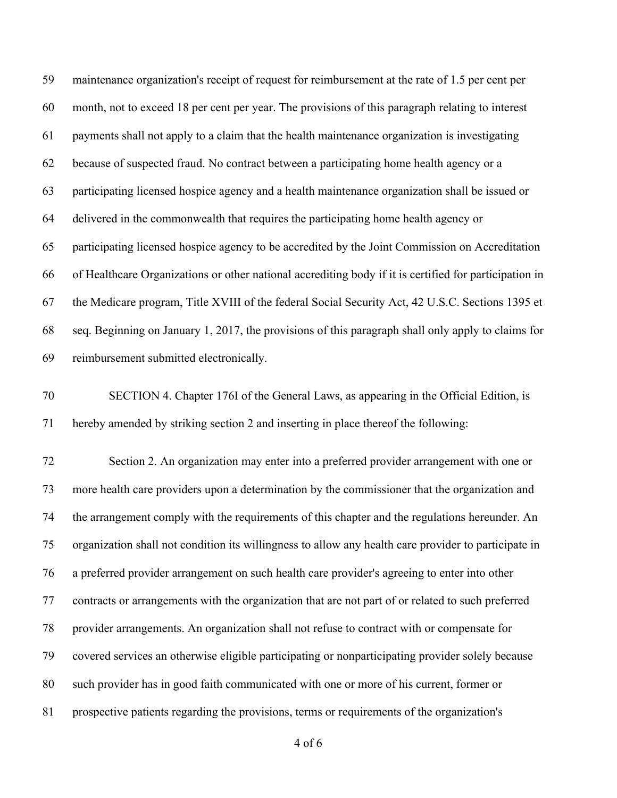maintenance organization's receipt of request for reimbursement at the rate of 1.5 per cent per month, not to exceed 18 per cent per year. The provisions of this paragraph relating to interest payments shall not apply to a claim that the health maintenance organization is investigating because of suspected fraud. No contract between a participating home health agency or a participating licensed hospice agency and a health maintenance organization shall be issued or delivered in the commonwealth that requires the participating home health agency or participating licensed hospice agency to be accredited by the Joint Commission on Accreditation of Healthcare Organizations or other national accrediting body if it is certified for participation in the Medicare program, Title XVIII of the federal Social Security Act, 42 U.S.C. Sections 1395 et seq. Beginning on January 1, 2017, the provisions of this paragraph shall only apply to claims for reimbursement submitted electronically.

 SECTION 4. Chapter 176I of the General Laws, as appearing in the Official Edition, is hereby amended by striking section 2 and inserting in place thereof the following:

 Section 2. An organization may enter into a preferred provider arrangement with one or more health care providers upon a determination by the commissioner that the organization and the arrangement comply with the requirements of this chapter and the regulations hereunder. An organization shall not condition its willingness to allow any health care provider to participate in a preferred provider arrangement on such health care provider's agreeing to enter into other contracts or arrangements with the organization that are not part of or related to such preferred provider arrangements. An organization shall not refuse to contract with or compensate for covered services an otherwise eligible participating or nonparticipating provider solely because such provider has in good faith communicated with one or more of his current, former or prospective patients regarding the provisions, terms or requirements of the organization's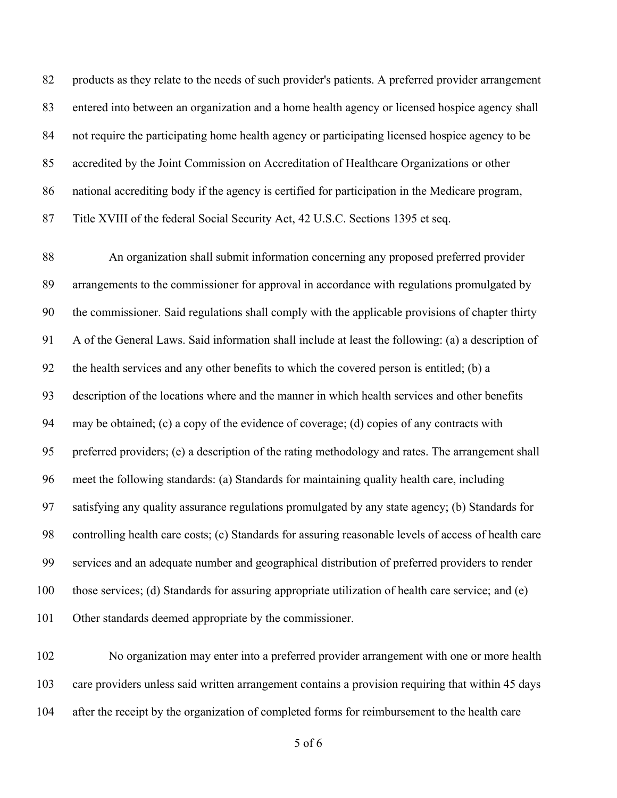products as they relate to the needs of such provider's patients. A preferred provider arrangement entered into between an organization and a home health agency or licensed hospice agency shall not require the participating home health agency or participating licensed hospice agency to be accredited by the Joint Commission on Accreditation of Healthcare Organizations or other national accrediting body if the agency is certified for participation in the Medicare program, Title XVIII of the federal Social Security Act, 42 U.S.C. Sections 1395 et seq.

 An organization shall submit information concerning any proposed preferred provider arrangements to the commissioner for approval in accordance with regulations promulgated by the commissioner. Said regulations shall comply with the applicable provisions of chapter thirty A of the General Laws. Said information shall include at least the following: (a) a description of the health services and any other benefits to which the covered person is entitled; (b) a description of the locations where and the manner in which health services and other benefits may be obtained; (c) a copy of the evidence of coverage; (d) copies of any contracts with preferred providers; (e) a description of the rating methodology and rates. The arrangement shall meet the following standards: (a) Standards for maintaining quality health care, including satisfying any quality assurance regulations promulgated by any state agency; (b) Standards for controlling health care costs; (c) Standards for assuring reasonable levels of access of health care services and an adequate number and geographical distribution of preferred providers to render those services; (d) Standards for assuring appropriate utilization of health care service; and (e) Other standards deemed appropriate by the commissioner.

 No organization may enter into a preferred provider arrangement with one or more health care providers unless said written arrangement contains a provision requiring that within 45 days after the receipt by the organization of completed forms for reimbursement to the health care